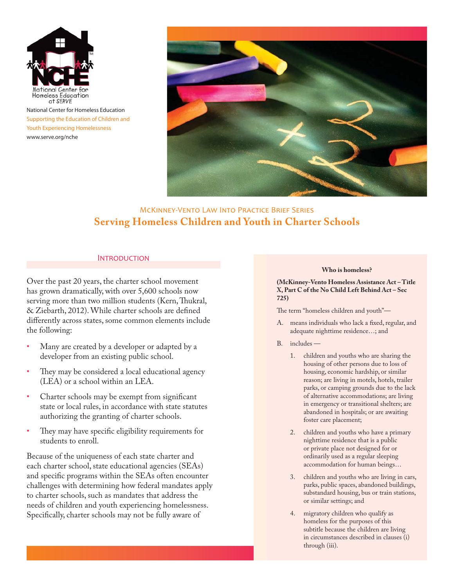

National Center for Homeless Education Supporting the Education of Children and Youth Experiencing Homelessness www.serve.org/nche



# MCKINNEY-VENTO LAW INTO PRACTICE BRIEF SERIES **Serving Homeless Children and Youth in Charter Schools**

#### **INTRODUCTION**

Over the past 20 years, the charter school movement has grown dramatically, with over 5,600 schools now serving more than two million students (Kern, Thukral, & Ziebarth, 2012). While charter schools are defined differently across states, some common elements include the following:

- Many are created by a developer or adapted by a developer from an existing public school.
- They may be considered a local educational agency (LEA) or a school within an LEA.
- Charter schools may be exempt from significant state or local rules, in accordance with state statutes authorizing the granting of charter schools.
- They may have specific eligibility requirements for students to enroll.

Because of the uniqueness of each state charter and each charter school, state educational agencies (SEAs) and specific programs within the SEAs often encounter challenges with determining how federal mandates apply to charter schools, such as mandates that address the needs of children and youth experiencing homelessness. Specifically, charter schools may not be fully aware of

#### **Who is homeless?**

**(McKinney-Vento Homeless Assistance Act – Title X, Part C of the No Child Left Behind Act – Sec 725)**

The term "homeless children and youth"—

- A. means individuals who lack a fixed, regular, and adequate nighttime residence…; and
- B. includes
	- 1. children and youths who are sharing the housing of other persons due to loss of housing, economic hardship, or similar reason; are living in motels, hotels, trailer parks, or camping grounds due to the lack of alternative accommodations; are living in emergency or transitional shelters; are abandoned in hospitals; or are awaiting foster care placement;
	- 2. children and youths who have a primary nighttime residence that is a public or private place not designed for or ordinarily used as a regular sleeping accommodation for human beings…
	- 3. children and youths who are living in cars, parks, public spaces, abandoned buildings, substandard housing, bus or train stations, or similar settings; and
	- 4. migratory children who qualify as homeless for the purposes of this subtitle because the children are living in circumstances described in clauses (i) through (iii).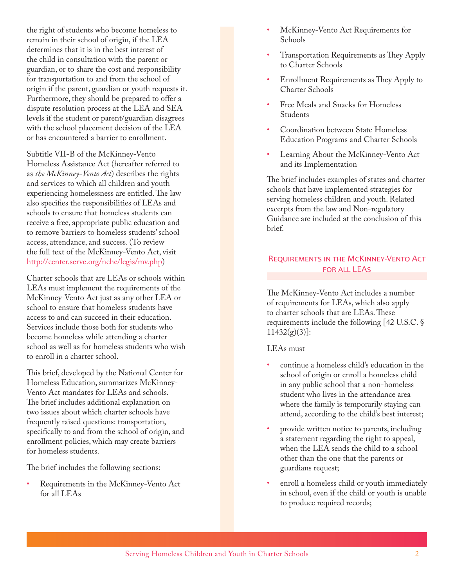the right of students who become homeless to remain in their school of origin, if the LEA determines that it is in the best interest of the child in consultation with the parent or guardian, or to share the cost and responsibility for transportation to and from the school of origin if the parent, guardian or youth requests it. Furthermore, they should be prepared to offer a dispute resolution process at the LEA and SEA levels if the student or parent/guardian disagrees with the school placement decision of the LEA or has encountered a barrier to enrollment.

Subtitle VII-B of the McKinney-Vento Homeless Assistance Act (hereafter referred to as *the McKinney-Vento Act*) describes the rights and services to which all children and youth experiencing homelessness are entitled. The law also specifies the responsibilities of LEAs and schools to ensure that homeless students can receive a free, appropriate public education and to remove barriers to homeless students' school access, attendance, and success. (To review the full text of the McKinney-Vento Act, visit http://center.serve.org/nche/legis/mv.php)

Charter schools that are LEAs or schools within LEAs must implement the requirements of the McKinney-Vento Act just as any other LEA or school to ensure that homeless students have access to and can succeed in their education. Services include those both for students who become homeless while attending a charter school as well as for homeless students who wish to enroll in a charter school.

This brief, developed by the National Center for Homeless Education, summarizes McKinney-Vento Act mandates for LEAs and schools. The brief includes additional explanation on two issues about which charter schools have frequently raised questions: transportation, specifically to and from the school of origin, and enrollment policies, which may create barriers for homeless students.

The brief includes the following sections:

Requirements in the McKinney-Vento Act for all LEAs

- McKinney-Vento Act Requirements for Schools
- Transportation Requirements as They Apply to Charter Schools
- Enrollment Requirements as They Apply to Charter Schools
- Free Meals and Snacks for Homeless Students
- Coordination between State Homeless Education Programs and Charter Schools
- Learning About the McKinney-Vento Act and its Implementation

The brief includes examples of states and charter schools that have implemented strategies for serving homeless children and youth. Related excerpts from the law and Non-regulatory Guidance are included at the conclusion of this brief.

# REQUIREMENTS IN THE MCKINNEY-VENTO ACT FOR ALL LEAS

The McKinney-Vento Act includes a number of requirements for LEAs, which also apply to charter schools that are LEAs. These requirements include the following [42 U.S.C. §  $11432(g)(3)$ :

# LEAs must

- continue a homeless child's education in the school of origin or enroll a homeless child in any public school that a non-homeless student who lives in the attendance area where the family is temporarily staying can attend, according to the child's best interest;
- provide written notice to parents, including a statement regarding the right to appeal, when the LEA sends the child to a school other than the one that the parents or guardians request;
- enroll a homeless child or youth immediately in school, even if the child or youth is unable to produce required records;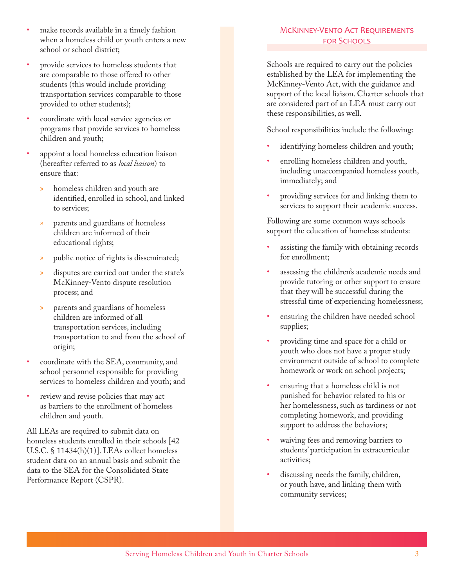- make records available in a timely fashion when a homeless child or youth enters a new school or school district;
- provide services to homeless students that are comparable to those offered to other students (this would include providing transportation services comparable to those provided to other students);
- coordinate with local service agencies or programs that provide services to homeless children and youth;
- appoint a local homeless education liaison (hereafter referred to as *local liaison*) to ensure that:
	- » homeless children and youth are identified, enrolled in school, and linked to services;
	- » parents and guardians of homeless children are informed of their educational rights;
	- public notice of rights is disseminated;
	- disputes are carried out under the state's McKinney-Vento dispute resolution process; and
	- » parents and guardians of homeless children are informed of all transportation services, including transportation to and from the school of origin;
- coordinate with the SEA, community, and school personnel responsible for providing services to homeless children and youth; and
- review and revise policies that may act as barriers to the enrollment of homeless children and youth.

All LEAs are required to submit data on homeless students enrolled in their schools [42 U.S.C. § 11434(h)(1)]. LEAs collect homeless student data on an annual basis and submit the data to the SEA for the Consolidated State Performance Report (CSPR).

# MCKINNEY-VENTO ACT REQUIREMENTS **FOR SCHOOLS**

Schools are required to carry out the policies established by the LEA for implementing the McKinney-Vento Act, with the guidance and support of the local liaison. Charter schools that are considered part of an LEA must carry out these responsibilities, as well.

School responsibilities include the following:

- identifying homeless children and youth;
- enrolling homeless children and youth, including unaccompanied homeless youth, immediately; and
- providing services for and linking them to services to support their academic success.

Following are some common ways schools support the education of homeless students:

- assisting the family with obtaining records for enrollment;
- assessing the children's academic needs and provide tutoring or other support to ensure that they will be successful during the stressful time of experiencing homelessness;
- ensuring the children have needed school supplies;
- providing time and space for a child or youth who does not have a proper study environment outside of school to complete homework or work on school projects;
- ensuring that a homeless child is not punished for behavior related to his or her homelessness, such as tardiness or not completing homework, and providing support to address the behaviors;
- waiving fees and removing barriers to students' participation in extracurricular activities;
- discussing needs the family, children, or youth have, and linking them with community services;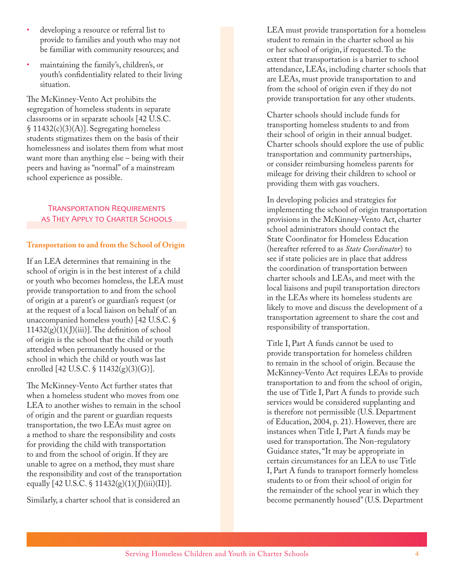- developing a resource or referral list to provide to families and youth who may not be familiar with community resources; and
- maintaining the family's, children's, or youth's confidentiality related to their living situation.

The McKinney-Vento Act prohibits the segregation of homeless students in separate classrooms or in separate schools [42 U.S.C. § 11432(c)(3)(A)]. Segregating homeless students stigmatizes them on the basis of their homelessness and isolates them from what most want more than anything else – being with their peers and having as "normal" of a mainstream school experience as possible.

### TRANSPORTATION REQUIREMENTS AS THEY APPLY TO CHARTER SCHOOLS

### **Transportation to and from the School of Origin**

If an LEA determines that remaining in the school of origin is in the best interest of a child or youth who becomes homeless, the LEA must provide transportation to and from the school of origin at a parent's or guardian's request (or at the request of a local liaison on behalf of an unaccompanied homeless youth) [42 U.S.C. §  $11432(g)(1)(J)(iii)$ . The definition of school of origin is the school that the child or youth attended when permanently housed or the school in which the child or youth was last enrolled [42 U.S.C. § 11432(g)(3)(G)].

The McKinney-Vento Act further states that when a homeless student who moves from one LEA to another wishes to remain in the school of origin and the parent or guardian requests transportation, the two LEAs must agree on a method to share the responsibility and costs for providing the child with transportation to and from the school of origin. If they are unable to agree on a method, they must share the responsibility and cost of the transportation equally  $[42 \text{ U.S.C. } \S 11432(g)(1)(J)(iii)(II)].$ 

Similarly, a charter school that is considered an

LEA must provide transportation for a homeless student to remain in the charter school as his or her school of origin, if requested. To the extent that transportation is a barrier to school attendance, LEAs, including charter schools that are LEAs, must provide transportation to and from the school of origin even if they do not provide transportation for any other students.

Charter schools should include funds for transporting homeless students to and from their school of origin in their annual budget. Charter schools should explore the use of public transportation and community partnerships, or consider reimbursing homeless parents for mileage for driving their children to school or providing them with gas vouchers.

In developing policies and strategies for implementing the school of origin transportation provisions in the McKinney-Vento Act, charter school administrators should contact the State Coordinator for Homeless Education (hereafter referred to as *State Coordinator*) to see if state policies are in place that address the coordination of transportation between charter schools and LEAs, and meet with the local liaisons and pupil transportation directors in the LEAs where its homeless students are likely to move and discuss the development of a transportation agreement to share the cost and responsibility of transportation.

Title I, Part A funds cannot be used to provide transportation for homeless children to remain in the school of origin. Because the McKinney-Vento Act requires LEAs to provide transportation to and from the school of origin, the use of Title I, Part A funds to provide such services would be considered supplanting and is therefore not permissible (U.S. Department of Education, 2004, p. 21). However, there are instances when Title I, Part A funds may be used for transportation. The Non-regulatory Guidance states, "It may be appropriate in certain circumstances for an LEA to use Title I, Part A funds to transport formerly homeless students to or from their school of origin for the remainder of the school year in which they become permanently housed" (U.S. Department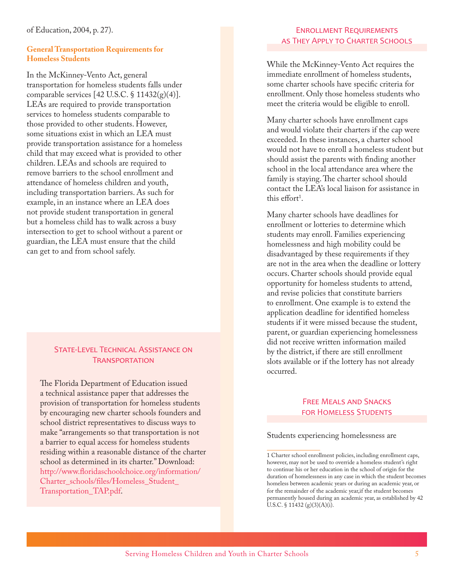of Education, 2004, p. 27).

### **General Transportation Requirements for Homeless Students**

In the McKinney-Vento Act, general transportation for homeless students falls under comparable services  $[42 \text{ U.S.C.} \$ 11432(g)(4)].$ LEAs are required to provide transportation services to homeless students comparable to those provided to other students. However, some situations exist in which an LEA must provide transportation assistance for a homeless child that may exceed what is provided to other children. LEAs and schools are required to remove barriers to the school enrollment and attendance of homeless children and youth, including transportation barriers. As such for example, in an instance where an LEA does not provide student transportation in general but a homeless child has to walk across a busy intersection to get to school without a parent or guardian, the LEA must ensure that the child can get to and from school safely.

### STATE-LEVEL TECHNICAL ASSISTANCE ON **TRANSPORTATION**

The Florida Department of Education issued a technical assistance paper that addresses the provision of transportation for homeless students by encouraging new charter schools founders and school district representatives to discuss ways to make "arrangements so that transportation is not a barrier to equal access for homeless students residing within a reasonable distance of the charter school as determined in its charter." Download: http://www.floridaschoolchoice.org/information/ Charter\_schools/files/Homeless\_Student\_ Transportation\_TAP.pdf.

# ENROLLMENT REQUIREMENTS AS THEY APPLY TO CHARTER SCHOOLS

While the McKinney-Vento Act requires the immediate enrollment of homeless students, some charter schools have specific criteria for enrollment. Only those homeless students who meet the criteria would be eligible to enroll.

Many charter schools have enrollment caps and would violate their charters if the cap were exceeded. In these instances, a charter school would not have to enroll a homeless student but should assist the parents with finding another school in the local attendance area where the family is staying. The charter school should contact the LEA's local liaison for assistance in this effort<sup>1</sup>.

Many charter schools have deadlines for enrollment or lotteries to determine which students may enroll. Families experiencing homelessness and high mobility could be disadvantaged by these requirements if they are not in the area when the deadline or lottery occurs. Charter schools should provide equal opportunity for homeless students to attend, and revise policies that constitute barriers to enrollment. One example is to extend the application deadline for identified homeless students if it were missed because the student, parent, or guardian experiencing homelessness did not receive written information mailed by the district, if there are still enrollment slots available or if the lottery has not already occurred.

## FREE MEALS AND SNACKS FOR HOMELESS STUDENTS

#### Students experiencing homelessness are

<sup>1</sup> Charter school enrollment policies, including enrollment caps, however, may not be used to override a homeless student's right to continue his or her education in the school of origin for the duration of homelessness in any case in which the student becomes homeless between academic years or during an academic year, or for the remainder of the academic year,if the student becomes permanently housed during an academic year, as established by 42 U.S.C. § 11432 (g)(3)(A)(i).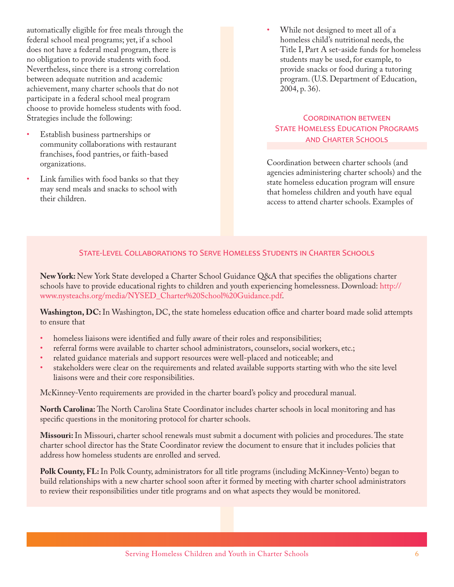automatically eligible for free meals through the federal school meal programs; yet, if a school does not have a federal meal program, there is no obligation to provide students with food. Nevertheless, since there is a strong correlation between adequate nutrition and academic achievement, many charter schools that do not participate in a federal school meal program choose to provide homeless students with food. Strategies include the following:

- Establish business partnerships or community collaborations with restaurant franchises, food pantries, or faith-based organizations.
- Link families with food banks so that they may send meals and snacks to school with their children.

While not designed to meet all of a homeless child's nutritional needs, the Title I, Part A set-aside funds for homeless students may be used, for example, to provide snacks or food during a tutoring program. (U.S. Department of Education, 2004, p. 36).

# **COORDINATION BETWEEN** STATE HOMELESS EDUCATION PROGRAMS **AND CHARTER SCHOOLS**

Coordination between charter schools (and agencies administering charter schools) and the state homeless education program will ensure that homeless children and youth have equal access to attend charter schools. Examples of

## STATE-LEVEL COLLABORATIONS TO SERVE HOMELESS STUDENTS IN CHARTER SCHOOLS

**New York:** New York State developed a Charter School Guidance Q&A that specifies the obligations charter schools have to provide educational rights to children and youth experiencing homelessness. Download: http:// www.nysteachs.org/media/NYSED\_Charter%20School%20Guidance.pdf.

**Washington, DC:** In Washington, DC, the state homeless education office and charter board made solid attempts to ensure that

- homeless liaisons were identified and fully aware of their roles and responsibilities;
- referral forms were available to charter school administrators, counselors, social workers, etc.;
- related guidance materials and support resources were well-placed and noticeable; and
- stakeholders were clear on the requirements and related available supports starting with who the site level liaisons were and their core responsibilities.

McKinney-Vento requirements are provided in the charter board's policy and procedural manual.

**North Carolina:** The North Carolina State Coordinator includes charter schools in local monitoring and has specific questions in the monitoring protocol for charter schools.

**Missouri:** In Missouri, charter school renewals must submit a document with policies and procedures. The state charter school director has the State Coordinator review the document to ensure that it includes policies that address how homeless students are enrolled and served.

**Polk County, FL:** In Polk County, administrators for all title programs (including McKinney-Vento) began to build relationships with a new charter school soon after it formed by meeting with charter school administrators to review their responsibilities under title programs and on what aspects they would be monitored.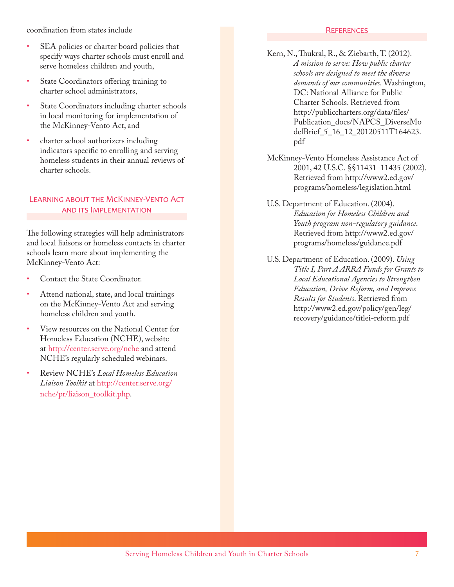coordination from states include

- SEA policies or charter board policies that specify ways charter schools must enroll and serve homeless children and youth,
- State Coordinators offering training to charter school administrators,
- State Coordinators including charter schools in local monitoring for implementation of the McKinney-Vento Act, and
- charter school authorizers including indicators specific to enrolling and serving homeless students in their annual reviews of charter schools.

# LEARNING ABOUT THE MCKINNEY-VENTO ACT AND ITS IMPLEMENTATION

The following strategies will help administrators and local liaisons or homeless contacts in charter schools learn more about implementing the McKinney-Vento Act:

- Contact the State Coordinator.
- Attend national, state, and local trainings on the McKinney-Vento Act and serving homeless children and youth.
- R5 View resources on the National Center for Homeless Education (NCHE), website at http://center.serve.org/nche and attend NCHE's regularly scheduled webinars.
- R5 Review NCHE's *Local Homeless Education Liaison Toolkit* at http://center.serve.org/ nche/pr/liaison\_toolkit.php.

### REFERENCES

- Kern, N., Thukral, R., & Ziebarth, T. (2012). *A mission to serve: How public charter schools are designed to meet the diverse demands of our communities.* Washington, DC: National Alliance for Public Charter Schools. Retrieved from http://publiccharters.org/data/files/ Publication\_docs/NAPCS\_DiverseMo delBrief\_5\_16\_12\_20120511T164623. pdf
- McKinney-Vento Homeless Assistance Act of 2001, 42 U.S.C. §§11431–11435 (2002). Retrieved from http://www2.ed.gov/ programs/homeless/legislation.html
- U.S. Department of Education. (2004). *Education for Homeless Children and Youth program non-regulatory guidance*. Retrieved from http://www2.ed.gov/ programs/homeless/guidance.pdf
- U.S. Department of Education. (2009). *Using Title I, Part A ARRA Funds for Grants to Local Educational Agencies to Strengthen Education, Drive Reform, and Improve Results for Students*. Retrieved from http://www2.ed.gov/policy/gen/leg/ recovery/guidance/titlei-reform.pdf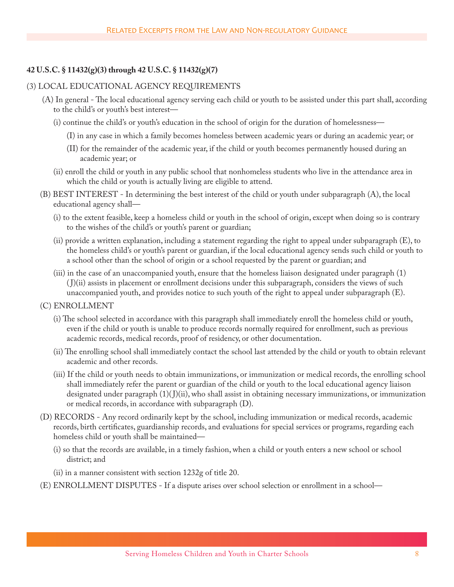## **42 U.S.C. § 11432(g)(3) through 42 U.S.C. § 11432(g)(7)**

### (3) LOCAL EDUCATIONAL AGENCY REQUIREMENTS

- (A) In general The local educational agency serving each child or youth to be assisted under this part shall, according to the child's or youth's best interest—
	- (i) continue the child's or youth's education in the school of origin for the duration of homelessness—
		- (I) in any case in which a family becomes homeless between academic years or during an academic year; or
		- (II) for the remainder of the academic year, if the child or youth becomes permanently housed during an academic year; or
	- (ii) enroll the child or youth in any public school that nonhomeless students who live in the attendance area in which the child or youth is actually living are eligible to attend.
- (B) BEST INTEREST In determining the best interest of the child or youth under subparagraph (A), the local educational agency shall—
	- (i) to the extent feasible, keep a homeless child or youth in the school of origin, except when doing so is contrary to the wishes of the child's or youth's parent or guardian;
	- (ii) provide a written explanation, including a statement regarding the right to appeal under subparagraph (E), to the homeless child's or youth's parent or guardian, if the local educational agency sends such child or youth to a school other than the school of origin or a school requested by the parent or guardian; and
	- (iii) in the case of an unaccompanied youth, ensure that the homeless liaison designated under paragraph (1) ( J)(ii) assists in placement or enrollment decisions under this subparagraph, considers the views of such unaccompanied youth, and provides notice to such youth of the right to appeal under subparagraph (E).
- (C) ENROLLMENT
	- (i) The school selected in accordance with this paragraph shall immediately enroll the homeless child or youth, even if the child or youth is unable to produce records normally required for enrollment, such as previous academic records, medical records, proof of residency, or other documentation.
	- (ii) The enrolling school shall immediately contact the school last attended by the child or youth to obtain relevant academic and other records.
	- (iii) If the child or youth needs to obtain immunizations, or immunization or medical records, the enrolling school shall immediately refer the parent or guardian of the child or youth to the local educational agency liaison designated under paragraph (1)( J)(ii), who shall assist in obtaining necessary immunizations, or immunization or medical records, in accordance with subparagraph (D).
- (D) RECORDS Any record ordinarily kept by the school, including immunization or medical records, academic records, birth certificates, guardianship records, and evaluations for special services or programs, regarding each homeless child or youth shall be maintained—
	- (i) so that the records are available, in a timely fashion, when a child or youth enters a new school or school district; and
	- (ii) in a manner consistent with section 1232g of title 20.
- (E) ENROLLMENT DISPUTES If a dispute arises over school selection or enrollment in a school—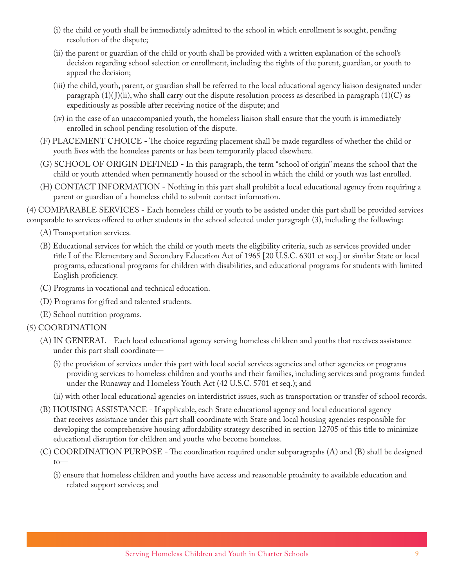- (i) the child or youth shall be immediately admitted to the school in which enrollment is sought, pending resolution of the dispute;
- (ii) the parent or guardian of the child or youth shall be provided with a written explanation of the school's decision regarding school selection or enrollment, including the rights of the parent, guardian, or youth to appeal the decision;
- (iii) the child, youth, parent, or guardian shall be referred to the local educational agency liaison designated under paragraph  $(1)(J)(ii)$ , who shall carry out the dispute resolution process as described in paragraph  $(1)(C)$  as expeditiously as possible after receiving notice of the dispute; and
- (iv) in the case of an unaccompanied youth, the homeless liaison shall ensure that the youth is immediately enrolled in school pending resolution of the dispute.
- (F) PLACEMENT CHOICE The choice regarding placement shall be made regardless of whether the child or youth lives with the homeless parents or has been temporarily placed elsewhere.
- (G) SCHOOL OF ORIGIN DEFINED In this paragraph, the term "school of origin" means the school that the child or youth attended when permanently housed or the school in which the child or youth was last enrolled.
- (H) CONTACT INFORMATION Nothing in this part shall prohibit a local educational agency from requiring a parent or guardian of a homeless child to submit contact information.

(4) COMPARABLE SERVICES - Each homeless child or youth to be assisted under this part shall be provided services comparable to services offered to other students in the school selected under paragraph (3), including the following:

- (A) Transportation services.
- (B) Educational services for which the child or youth meets the eligibility criteria, such as services provided under title I of the Elementary and Secondary Education Act of 1965 [20 U.S.C. 6301 et seq.] or similar State or local programs, educational programs for children with disabilities, and educational programs for students with limited English proficiency.
- (C) Programs in vocational and technical education.
- (D) Programs for gifted and talented students.
- (E) School nutrition programs.

# (5) COORDINATION

- (A) IN GENERAL Each local educational agency serving homeless children and youths that receives assistance under this part shall coordinate—
	- (i) the provision of services under this part with local social services agencies and other agencies or programs providing services to homeless children and youths and their families, including services and programs funded under the Runaway and Homeless Youth Act (42 U.S.C. 5701 et seq.); and
	- (ii) with other local educational agencies on interdistrict issues, such as transportation or transfer of school records.
- (B) HOUSING ASSISTANCE If applicable, each State educational agency and local educational agency that receives assistance under this part shall coordinate with State and local housing agencies responsible for developing the comprehensive housing affordability strategy described in section 12705 of this title to minimize educational disruption for children and youths who become homeless.
- (C) COORDINATION PURPOSE The coordination required under subparagraphs (A) and (B) shall be designed to—
	- (i) ensure that homeless children and youths have access and reasonable proximity to available education and related support services; and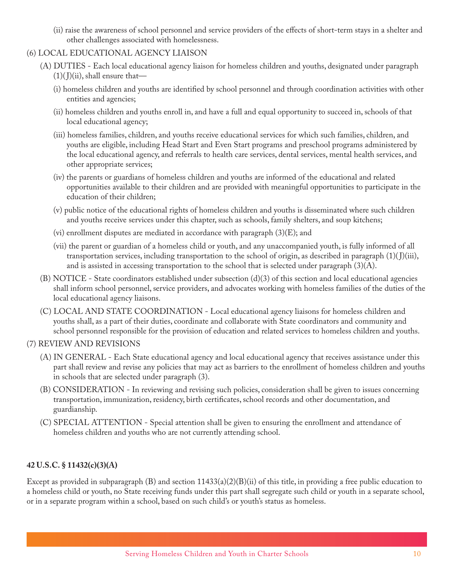(ii) raise the awareness of school personnel and service providers of the effects of short-term stays in a shelter and other challenges associated with homelessness.

# (6) LOCAL EDUCATIONAL AGENCY LIAISON

- (A) DUTIES Each local educational agency liaison for homeless children and youths, designated under paragraph  $(1)($  J $(ii)$ , shall ensure that—
	- (i) homeless children and youths are identified by school personnel and through coordination activities with other entities and agencies;
	- (ii) homeless children and youths enroll in, and have a full and equal opportunity to succeed in, schools of that local educational agency;
	- (iii) homeless families, children, and youths receive educational services for which such families, children, and youths are eligible, including Head Start and Even Start programs and preschool programs administered by the local educational agency, and referrals to health care services, dental services, mental health services, and other appropriate services;
	- (iv) the parents or guardians of homeless children and youths are informed of the educational and related opportunities available to their children and are provided with meaningful opportunities to participate in the education of their children;
	- (v) public notice of the educational rights of homeless children and youths is disseminated where such children and youths receive services under this chapter, such as schools, family shelters, and soup kitchens;
	- (vi) enrollment disputes are mediated in accordance with paragraph (3)(E); and
	- (vii) the parent or guardian of a homeless child or youth, and any unaccompanied youth, is fully informed of all transportation services, including transportation to the school of origin, as described in paragraph  $(1)(J)(iii)$ , and is assisted in accessing transportation to the school that is selected under paragraph  $(3)(A)$ .
- (B) NOTICE State coordinators established under subsection  $(d)(3)$  of this section and local educational agencies shall inform school personnel, service providers, and advocates working with homeless families of the duties of the local educational agency liaisons.
- (C) LOCAL AND STATE COORDINATION Local educational agency liaisons for homeless children and youths shall, as a part of their duties, coordinate and collaborate with State coordinators and community and school personnel responsible for the provision of education and related services to homeless children and youths.

# (7) REVIEW AND REVISIONS

- (A) IN GENERAL Each State educational agency and local educational agency that receives assistance under this part shall review and revise any policies that may act as barriers to the enrollment of homeless children and youths in schools that are selected under paragraph (3).
- (B) CONSIDERATION In reviewing and revising such policies, consideration shall be given to issues concerning transportation, immunization, residency, birth certificates, school records and other documentation, and guardianship.
- (C) SPECIAL ATTENTION Special attention shall be given to ensuring the enrollment and attendance of homeless children and youths who are not currently attending school.

# **42 U.S.C. § 11432(c)(3)(A)**

Except as provided in subparagraph  $(B)$  and section 11433(a)(2)(B)(ii) of this title, in providing a free public education to a homeless child or youth, no State receiving funds under this part shall segregate such child or youth in a separate school, or in a separate program within a school, based on such child's or youth's status as homeless.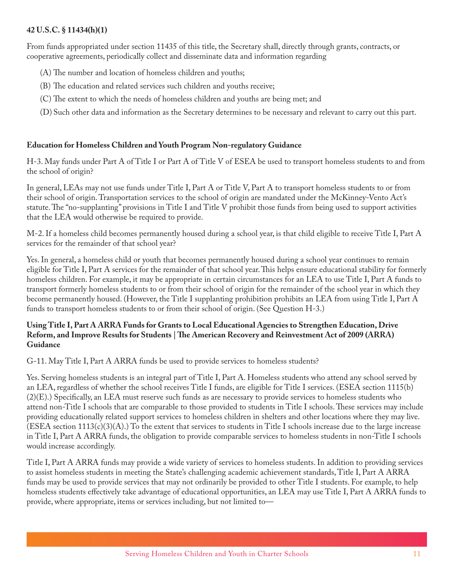### **42 U.S.C. § 11434(h)(1)**

From funds appropriated under section 11435 of this title, the Secretary shall, directly through grants, contracts, or cooperative agreements, periodically collect and disseminate data and information regarding

- (A) The number and location of homeless children and youths;
- (B) The education and related services such children and youths receive;
- (C) The extent to which the needs of homeless children and youths are being met; and
- (D) Such other data and information as the Secretary determines to be necessary and relevant to carry out this part.

### **Education for Homeless Children and Youth Program Non-regulatory Guidance**

H-3. May funds under Part A of Title I or Part A of Title V of ESEA be used to transport homeless students to and from the school of origin?

In general, LEAs may not use funds under Title I, Part A or Title V, Part A to transport homeless students to or from their school of origin. Transportation services to the school of origin are mandated under the McKinney-Vento Act's statute. The "no-supplanting" provisions in Title I and Title V prohibit those funds from being used to support activities that the LEA would otherwise be required to provide.

M-2. If a homeless child becomes permanently housed during a school year, is that child eligible to receive Title I, Part A services for the remainder of that school year?

Yes. In general, a homeless child or youth that becomes permanently housed during a school year continues to remain eligible for Title I, Part A services for the remainder of that school year. This helps ensure educational stability for formerly homeless children. For example, it may be appropriate in certain circumstances for an LEA to use Title I, Part A funds to transport formerly homeless students to or from their school of origin for the remainder of the school year in which they become permanently housed. (However, the Title I supplanting prohibition prohibits an LEA from using Title I, Part A funds to transport homeless students to or from their school of origin. (See Question H-3.)

### **Using Title I, Part A ARRA Funds for Grants to Local Educational Agencies to Strengthen Education, Drive Reform, and Improve Results for Students | The American Recovery and Reinvestment Act of 2009 (ARRA) Guidance**

G-11. May Title I, Part A ARRA funds be used to provide services to homeless students?

Yes. Serving homeless students is an integral part of Title I, Part A. Homeless students who attend any school served by an LEA, regardless of whether the school receives Title I funds, are eligible for Title I services. (ESEA section 1115(b) (2)(E).) Specifically, an LEA must reserve such funds as are necessary to provide services to homeless students who attend non-Title I schools that are comparable to those provided to students in Title I schools. These services may include providing educationally related support services to homeless children in shelters and other locations where they may live.  $(ESEA section 1113(c)(3)(A))$  To the extent that services to students in Title I schools increase due to the large increase in Title I, Part A ARRA funds, the obligation to provide comparable services to homeless students in non-Title I schools would increase accordingly.

Title I, Part A ARRA funds may provide a wide variety of services to homeless students. In addition to providing services to assist homeless students in meeting the State's challenging academic achievement standards, Title I, Part A ARRA funds may be used to provide services that may not ordinarily be provided to other Title I students. For example, to help homeless students effectively take advantage of educational opportunities, an LEA may use Title I, Part A ARRA funds to provide, where appropriate, items or services including, but not limited to—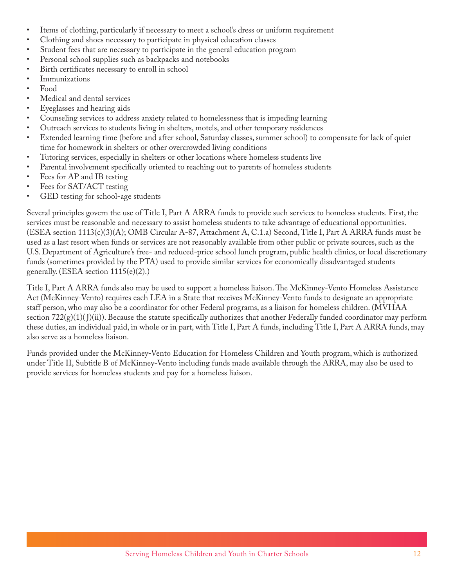- Items of clothing, particularly if necessary to meet a school's dress or uniform requirement
- Clothing and shoes necessary to participate in physical education classes
- Student fees that are necessary to participate in the general education program
- Personal school supplies such as backpacks and notebooks
- Birth certificates necessary to enroll in school
- Immunizations
- R5 Food
- Medical and dental services
- Eyeglasses and hearing aids
- Counseling services to address anxiety related to homelessness that is impeding learning
- R5 Outreach services to students living in shelters, motels, and other temporary residences
- Extended learning time (before and after school, Saturday classes, summer school) to compensate for lack of quiet time for homework in shelters or other overcrowded living conditions
- Tutoring services, especially in shelters or other locations where homeless students live
- Parental involvement specifically oriented to reaching out to parents of homeless students
- Fees for AP and IB testing
- Fees for SAT/ACT testing
- GED testing for school-age students

Several principles govern the use of Title I, Part A ARRA funds to provide such services to homeless students. First, the services must be reasonable and necessary to assist homeless students to take advantage of educational opportunities. (ESEA section 1113(c)(3)(A); OMB Circular A-87, Attachment A, C.1.a) Second, Title I, Part A ARRA funds must be used as a last resort when funds or services are not reasonably available from other public or private sources, such as the U.S. Department of Agriculture's free- and reduced-price school lunch program, public health clinics, or local discretionary funds (sometimes provided by the PTA) used to provide similar services for economically disadvantaged students generally. (ESEA section  $1115(e)(2)$ .)

Title I, Part A ARRA funds also may be used to support a homeless liaison. The McKinney-Vento Homeless Assistance Act (McKinney-Vento) requires each LEA in a State that receives McKinney-Vento funds to designate an appropriate staff person, who may also be a coordinator for other Federal programs, as a liaison for homeless children. (MVHAA section  $722(g)(1)(J)(ii)$ ). Because the statute specifically authorizes that another Federally funded coordinator may perform these duties, an individual paid, in whole or in part, with Title I, Part A funds, including Title I, Part A ARRA funds, may also serve as a homeless liaison.

Funds provided under the McKinney-Vento Education for Homeless Children and Youth program, which is authorized under Title II, Subtitle B of McKinney-Vento including funds made available through the ARRA, may also be used to provide services for homeless students and pay for a homeless liaison.